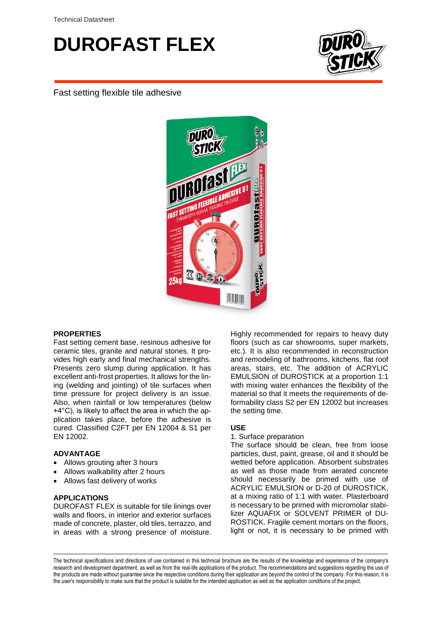# **DUROFAST FLEX**



Fast setting flexible tile adhesive



## **PROPERTIES**

Fast setting cement base, resinous adhesive for ceramic tiles, granite and natural stones. It provides high early and final mechanical strengths. Presents zero slump during application. It has excellent anti-frost properties. It allows for the lining (welding and jointing) of tile surfaces when time pressure for project delivery is an issue. Also, when rainfall or low temperatures (below +4°C), is likely to affect the area in which the application takes place, before the adhesive is cured. Classified C2FT per EN 12004 & S1 per EN 12002.

#### **ADVANTAGE**

- Allows grouting after 3 hours
- Allows walkability after 2 hours
- Allows fast delivery of works

#### **APPLICATIONS**

DUROFAST FLEX is suitable for tile linings over walls and floors, in interior and exterior surfaces made of concrete, plaster, old tiles, terrazzo, and in areas with a strong presence of moisture. Highly recommended for repairs to heavy duty floors (such as car showrooms, super markets, etc.). It is also recommended in reconstruction and remodeling of bathrooms, kitchens, flat roof areas, stairs, etc. The addition of ACRYLIC EMULSION of DUROSTICK at a proportion 1:1 with mixing water enhances the flexibility of the material so that it meets the requirements of deformability class S2 per EN 12002 but increases the setting time.

#### **USE**

#### 1. Surface preparation

The surface should be clean, free from loose particles, dust, paint, grease, oil and it should be wetted before application. Absorbent substrates as well as those made from aerated concrete should necessarily be primed with use of ACRYLIC EMULSION or D-20 of DUROSTICK, at a mixing ratio of 1:1 with water. Plasterboard is necessary to be primed with micromolar stabilizer AQUAFIX or SOLVENT PRIMER of DU-ROSTICK. Fragile cement mortars on the floors, light or not, it is necessary to be primed with

The technical specifications and directions of use contained in this technical brochure are the results of the knowledge and experience of the company's research and development department, as well as from the real-life applications of the product. The recommendations and suggestions regarding the use of the products are made without guarantee since the respective conditions during their application are beyond the control of the company. For this reason, it is the user's responsibility to make sure that the product is suitable for the intended application as well as the application conditions of the project.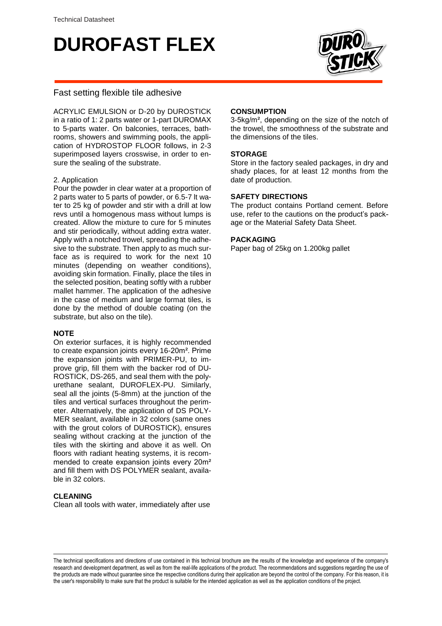# **DUROFAST FLEX**



## Fast setting flexible tile adhesive

ACRYLIC EMULSION or D-20 by DUROSTICK in a ratio of 1: 2 parts water or 1-part DUROMAX to 5-parts water. On balconies, terraces, bathrooms, showers and swimming pools, the application of HYDROSTOP FLOOR follows, in 2-3 superimposed layers crosswise, in order to ensure the sealing of the substrate.

## 2. Application

Pour the powder in clear water at a proportion of 2 parts water to 5 parts of powder, or 6.5-7 lt water to 25 kg of powder and stir with a drill at low revs until a homogenous mass without lumps is created. Allow the mixture to cure for 5 minutes and stir periodically, without adding extra water. Apply with a notched trowel, spreading the adhesive to the substrate. Then apply to as much surface as is required to work for the next 10 minutes (depending on weather conditions), avoiding skin formation. Finally, place the tiles in the selected position, beating softly with a rubber mallet hammer. The application of the adhesive in the case of medium and large format tiles, is done by the method of double coating (on the substrate, but also on the tile).

## **ΝΟΤΕ**

On exterior surfaces, it is highly recommended to create expansion joints every 16-20m². Prime the expansion joints with PRIMER-PU, to improve grip, fill them with the backer rod of DU-ROSTICK, DS-265, and seal them with the polyurethane sealant, DUROFLEX-PU. Similarly, seal all the joints (5-8mm) at the junction of the tiles and vertical surfaces throughout the perimeter. Alternatively, the application of DS POLY-MER sealant, available in 32 colors (same ones with the grout colors of DUROSTICK), ensures sealing without cracking at the junction of the tiles with the skirting and above it as well. On floors with radiant heating systems, it is recommended to create expansion joints every 20m² and fill them with DS POLYMER sealant, available in 32 colors.

#### **CLEANING**

Clean all tools with water, immediately after use

#### **CONSUMPTION**

3-5kg/m², depending on the size of the notch of the trowel, the smoothness of the substrate and the dimensions of the tiles.

### **STORAGE**

Store in the factory sealed packages, in dry and shady places, for at least 12 months from the date of production.

## **SAFETY DIRECTIONS**

The product contains Portland cement. Before use, refer to the cautions on the product's package or the Material Safety Data Sheet.

## **PACKAGING**

Paper bag of 25kg on 1.200kg pallet

The technical specifications and directions of use contained in this technical brochure are the results of the knowledge and experience of the company's research and development department, as well as from the real-life applications of the product. The recommendations and suggestions regarding the use of the products are made without guarantee since the respective conditions during their application are beyond the control of the company. For this reason, it is the user's responsibility to make sure that the product is suitable for the intended application as well as the application conditions of the project.